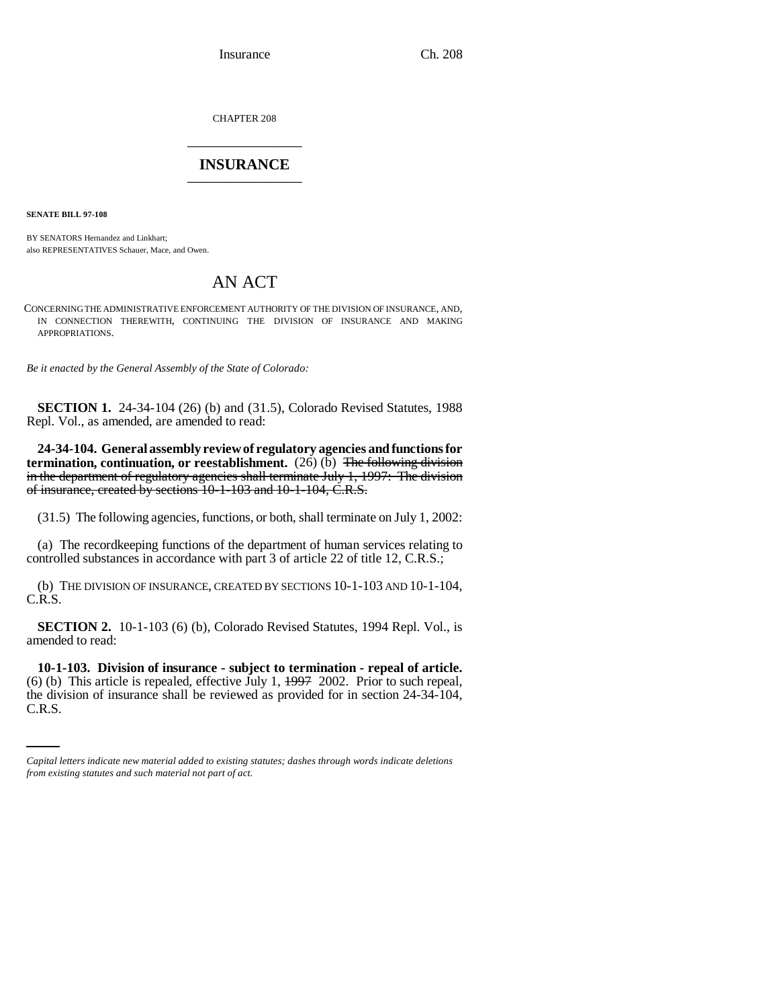Insurance Ch. 208

CHAPTER 208 \_\_\_\_\_\_\_\_\_\_\_\_\_\_\_

## **INSURANCE** \_\_\_\_\_\_\_\_\_\_\_\_\_\_\_

**SENATE BILL 97-108**

BY SENATORS Hernandez and Linkhart; also REPRESENTATIVES Schauer, Mace, and Owen.

## AN ACT

CONCERNING THE ADMINISTRATIVE ENFORCEMENT AUTHORITY OF THE DIVISION OF INSURANCE, AND, IN CONNECTION THEREWITH, CONTINUING THE DIVISION OF INSURANCE AND MAKING APPROPRIATIONS.

*Be it enacted by the General Assembly of the State of Colorado:*

**SECTION 1.** 24-34-104 (26) (b) and (31.5), Colorado Revised Statutes, 1988 Repl. Vol., as amended, are amended to read:

**24-34-104. General assembly review of regulatory agencies and functions for termination, continuation, or reestablishment.** (26) (b) The following division in the department of regulatory agencies shall terminate July 1, 1997: The division of insurance, created by sections 10-1-103 and 10-1-104, C.R.S.

(31.5) The following agencies, functions, or both, shall terminate on July 1, 2002:

(a) The recordkeeping functions of the department of human services relating to controlled substances in accordance with part 3 of article 22 of title 12, C.R.S.;

(b) THE DIVISION OF INSURANCE, CREATED BY SECTIONS 10-1-103 AND 10-1-104, C.R.S.

**SECTION 2.** 10-1-103 (6) (b), Colorado Revised Statutes, 1994 Repl. Vol., is amended to read:

(6) (b) This article is repealed, effective July 1,  $\frac{1997}{2002}$ . Prior to such repeal, **10-1-103. Division of insurance - subject to termination - repeal of article.** the division of insurance shall be reviewed as provided for in section 24-34-104, C.R.S.

*Capital letters indicate new material added to existing statutes; dashes through words indicate deletions from existing statutes and such material not part of act.*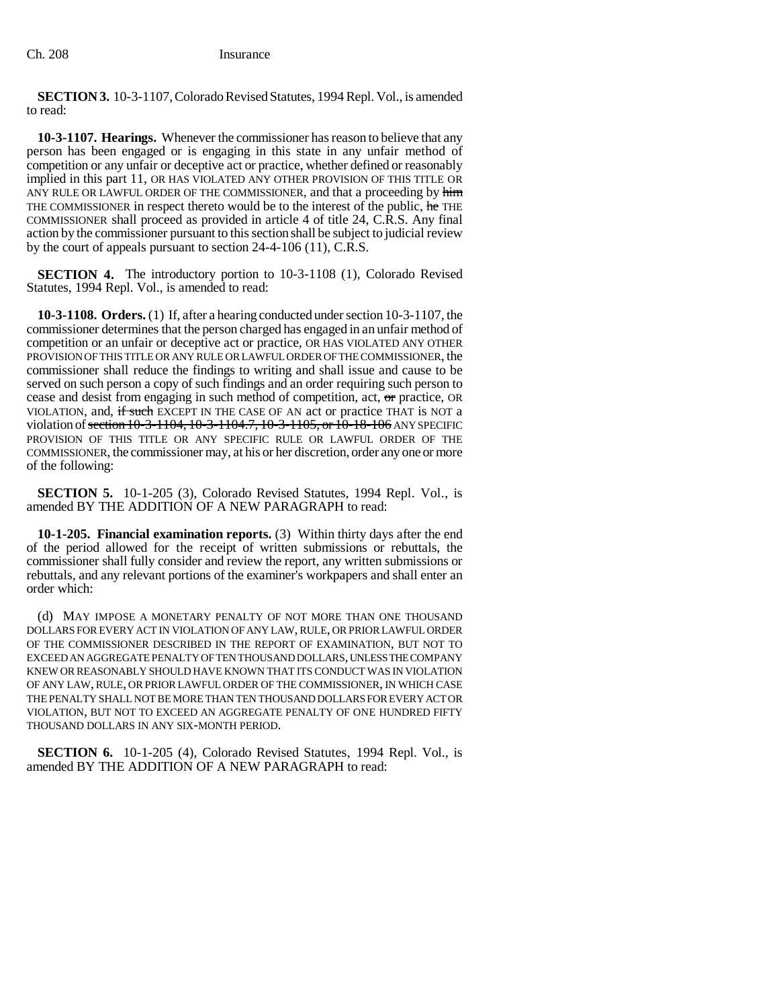**SECTION 3.** 10-3-1107, Colorado Revised Statutes, 1994 Repl. Vol., is amended to read:

**10-3-1107. Hearings.** Whenever the commissioner has reason to believe that any person has been engaged or is engaging in this state in any unfair method of competition or any unfair or deceptive act or practice, whether defined or reasonably implied in this part 11, OR HAS VIOLATED ANY OTHER PROVISION OF THIS TITLE OR ANY RULE OR LAWFUL ORDER OF THE COMMISSIONER, and that a proceeding by him THE COMMISSIONER in respect thereto would be to the interest of the public, he THE COMMISSIONER shall proceed as provided in article 4 of title 24, C.R.S. Any final action by the commissioner pursuant to this section shall be subject to judicial review by the court of appeals pursuant to section 24-4-106 (11), C.R.S.

**SECTION 4.** The introductory portion to 10-3-1108 (1), Colorado Revised Statutes, 1994 Repl. Vol., is amended to read:

**10-3-1108. Orders.** (1) If, after a hearing conducted under section 10-3-1107, the commissioner determines that the person charged has engaged in an unfair method of competition or an unfair or deceptive act or practice, OR HAS VIOLATED ANY OTHER PROVISION OF THIS TITLE OR ANY RULE OR LAWFUL ORDER OF THE COMMISSIONER, the commissioner shall reduce the findings to writing and shall issue and cause to be served on such person a copy of such findings and an order requiring such person to cease and desist from engaging in such method of competition, act, or practice, OR VIOLATION, and, if such EXCEPT IN THE CASE OF AN act or practice THAT is NOT a violation of section 10-3-1104, 10-3-1104.7, 10-3-1105, or 10-18-106 ANY SPECIFIC PROVISION OF THIS TITLE OR ANY SPECIFIC RULE OR LAWFUL ORDER OF THE COMMISSIONER, the commissioner may, at his or her discretion, order any one or more of the following:

**SECTION 5.** 10-1-205 (3), Colorado Revised Statutes, 1994 Repl. Vol., is amended BY THE ADDITION OF A NEW PARAGRAPH to read:

**10-1-205. Financial examination reports.** (3) Within thirty days after the end of the period allowed for the receipt of written submissions or rebuttals, the commissioner shall fully consider and review the report, any written submissions or rebuttals, and any relevant portions of the examiner's workpapers and shall enter an order which:

(d) MAY IMPOSE A MONETARY PENALTY OF NOT MORE THAN ONE THOUSAND DOLLARS FOR EVERY ACT IN VIOLATION OF ANY LAW, RULE, OR PRIOR LAWFUL ORDER OF THE COMMISSIONER DESCRIBED IN THE REPORT OF EXAMINATION, BUT NOT TO EXCEED AN AGGREGATE PENALTY OF TEN THOUSAND DOLLARS, UNLESS THE COMPANY KNEW OR REASONABLY SHOULD HAVE KNOWN THAT ITS CONDUCT WAS IN VIOLATION OF ANY LAW, RULE, OR PRIOR LAWFUL ORDER OF THE COMMISSIONER, IN WHICH CASE THE PENALTY SHALL NOT BE MORE THAN TEN THOUSAND DOLLARS FOR EVERY ACT OR VIOLATION, BUT NOT TO EXCEED AN AGGREGATE PENALTY OF ONE HUNDRED FIFTY THOUSAND DOLLARS IN ANY SIX-MONTH PERIOD.

**SECTION 6.** 10-1-205 (4), Colorado Revised Statutes, 1994 Repl. Vol., is amended BY THE ADDITION OF A NEW PARAGRAPH to read: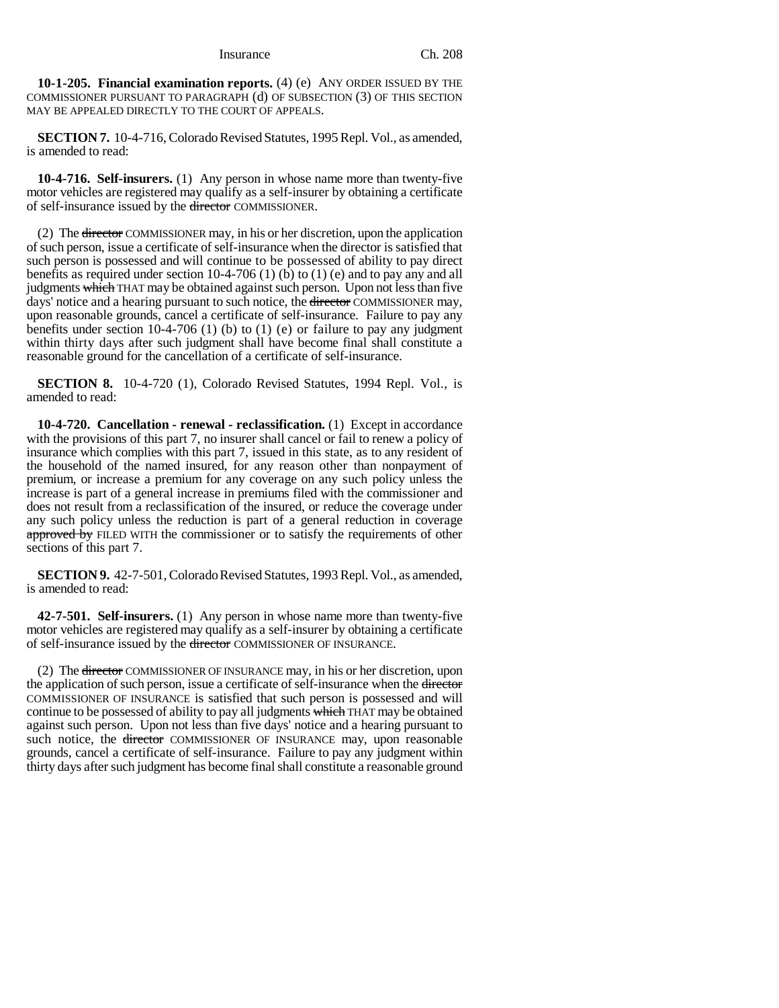Insurance Ch. 208

**10-1-205. Financial examination reports.** (4) (e) ANY ORDER ISSUED BY THE COMMISSIONER PURSUANT TO PARAGRAPH (d) OF SUBSECTION (3) OF THIS SECTION MAY BE APPEALED DIRECTLY TO THE COURT OF APPEALS.

**SECTION 7.** 10-4-716, Colorado Revised Statutes, 1995 Repl. Vol., as amended, is amended to read:

**10-4-716. Self-insurers.** (1) Any person in whose name more than twenty-five motor vehicles are registered may qualify as a self-insurer by obtaining a certificate of self-insurance issued by the director COMMISSIONER.

(2) The director COMMISSIONER may, in his or her discretion, upon the application of such person, issue a certificate of self-insurance when the director is satisfied that such person is possessed and will continue to be possessed of ability to pay direct benefits as required under section  $10-4-706$  (1) (b) to (1) (e) and to pay any and all judgments which THAT may be obtained against such person. Upon not less than five days' notice and a hearing pursuant to such notice, the director COMMISSIONER may, upon reasonable grounds, cancel a certificate of self-insurance. Failure to pay any benefits under section 10-4-706 (1) (b) to (1) (e) or failure to pay any judgment within thirty days after such judgment shall have become final shall constitute a reasonable ground for the cancellation of a certificate of self-insurance.

**SECTION 8.** 10-4-720 (1), Colorado Revised Statutes, 1994 Repl. Vol., is amended to read:

**10-4-720. Cancellation - renewal - reclassification.** (1) Except in accordance with the provisions of this part 7, no insurer shall cancel or fail to renew a policy of insurance which complies with this part 7, issued in this state, as to any resident of the household of the named insured, for any reason other than nonpayment of premium, or increase a premium for any coverage on any such policy unless the increase is part of a general increase in premiums filed with the commissioner and does not result from a reclassification of the insured, or reduce the coverage under any such policy unless the reduction is part of a general reduction in coverage approved by FILED WITH the commissioner or to satisfy the requirements of other sections of this part 7.

**SECTION 9.** 42-7-501, Colorado Revised Statutes, 1993 Repl. Vol., as amended, is amended to read:

**42-7-501. Self-insurers.** (1) Any person in whose name more than twenty-five motor vehicles are registered may qualify as a self-insurer by obtaining a certificate of self-insurance issued by the director COMMISSIONER OF INSURANCE.

(2) The director COMMISSIONER OF INSURANCE may, in his or her discretion, upon the application of such person, issue a certificate of self-insurance when the director COMMISSIONER OF INSURANCE is satisfied that such person is possessed and will continue to be possessed of ability to pay all judgments which THAT may be obtained against such person. Upon not less than five days' notice and a hearing pursuant to such notice, the director COMMISSIONER OF INSURANCE may, upon reasonable grounds, cancel a certificate of self-insurance. Failure to pay any judgment within thirty days after such judgment has become final shall constitute a reasonable ground